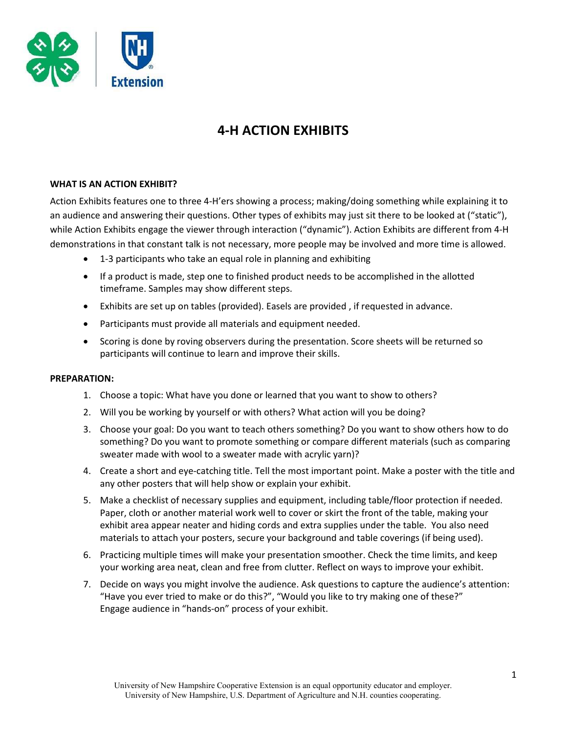

# 4-H ACTION EXHIBITS

# WHAT IS AN ACTION EXHIBIT?

Action Exhibits features one to three 4-H'ers showing a process; making/doing something while explaining it to an audience and answering their questions. Other types of exhibits may just sit there to be looked at ("static"), while Action Exhibits engage the viewer through interaction ("dynamic"). Action Exhibits are different from 4-H demonstrations in that constant talk is not necessary, more people may be involved and more time is allowed.

- 1-3 participants who take an equal role in planning and exhibiting
- If a product is made, step one to finished product needs to be accomplished in the allotted timeframe. Samples may show different steps.
- Exhibits are set up on tables (provided). Easels are provided , if requested in advance.
- Participants must provide all materials and equipment needed.
- Scoring is done by roving observers during the presentation. Score sheets will be returned so participants will continue to learn and improve their skills.

# PREPARATION:

- 1. Choose a topic: What have you done or learned that you want to show to others?
- 2. Will you be working by yourself or with others? What action will you be doing?
- 3. Choose your goal: Do you want to teach others something? Do you want to show others how to do something? Do you want to promote something or compare different materials (such as comparing sweater made with wool to a sweater made with acrylic yarn)?
- 4. Create a short and eye-catching title. Tell the most important point. Make a poster with the title and any other posters that will help show or explain your exhibit.
- 5. Make a checklist of necessary supplies and equipment, including table/floor protection if needed. Paper, cloth or another material work well to cover or skirt the front of the table, making your exhibit area appear neater and hiding cords and extra supplies under the table. You also need materials to attach your posters, secure your background and table coverings (if being used).
- 6. Practicing multiple times will make your presentation smoother. Check the time limits, and keep your working area neat, clean and free from clutter. Reflect on ways to improve your exhibit.
- 7. Decide on ways you might involve the audience. Ask questions to capture the audience's attention: "Have you ever tried to make or do this?", "Would you like to try making one of these?" Engage audience in "hands-on" process of your exhibit.